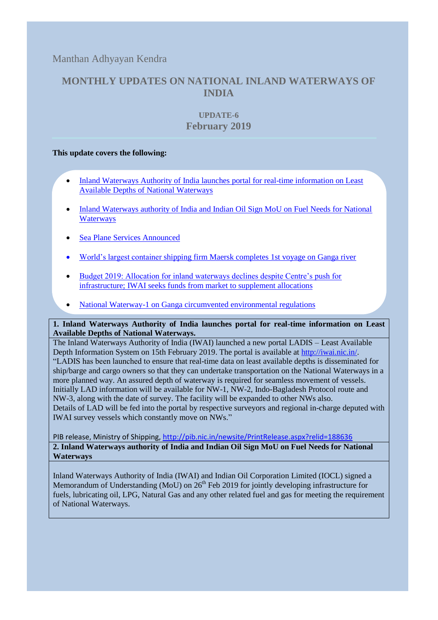Manthan Adhyayan Kendra

# **MONTHLY UPDATES ON NATIONAL INLAND WATERWAYS OF INDIA**

## **UPDATE-6 February 2019**

## **This update covers the following:**

- [Inland Waterways Authority of India launches](#page-0-0) portal for real-time information on Least [Available Depths of National Waterways](#page-0-0)
- [Inland Waterways authority of India and Indian Oil Sign MoU on Fuel Needs for National](#page-0-1)  **[Waterways](#page-0-1)**
- [Sea Plane Services Announced](#page-1-0)
- [World's largest container shipping firm Maersk completes](#page-2-0) 1st voyage on Ganga river
- [Budget 2019: Allocation for inland waterways declines despite Centre's push for](#page-2-1)  [infrastructure; IWAI seeks funds from market to supplement allocations](#page-2-1)
- [National Waterway-1 on Ganga circumvented environmental regulations](#page-3-0)

<span id="page-0-0"></span>**1. Inland Waterways Authority of India launches portal for real-time information on Least Available Depths of National Waterways.** 

The Inland Waterways Authority of India (IWAI) launched a new portal LADIS – Least Available Depth Information System on 15th February 2019. The portal is available at [http://iwai.nic.in/.](http://iwai.nic.in/) "LADIS has been launched to ensure that real-time data on least available depths is disseminated for ship/barge and cargo owners so that they can undertake transportation on the National Waterways in a more planned way. An assured depth of waterway is required for seamless movement of vessels. Initially LAD information will be available for NW-1, NW-2, Indo-Bagladesh Protocol route and NW-3, along with the date of survey. The facility will be expanded to other NWs also. Details of LAD will be fed into the portal by respective surveyors and regional in-charge deputed with IWAI survey vessels which constantly move on NWs."

<span id="page-0-1"></span>PIB release, Ministry of Shipping,<http://pib.nic.in/newsite/PrintRelease.aspx?relid=188636> **2. Inland Waterways authority of India and Indian Oil Sign MoU on Fuel Needs for National Waterways**

Inland Waterways Authority of India (IWAI) and Indian Oil Corporation Limited (IOCL) signed a Memorandum of Understanding (MoU) on  $26<sup>th</sup>$  Feb 2019 for jointly developing infrastructure for fuels, lubricating oil, LPG, Natural Gas and any other related fuel and gas for meeting the requirement of National Waterways.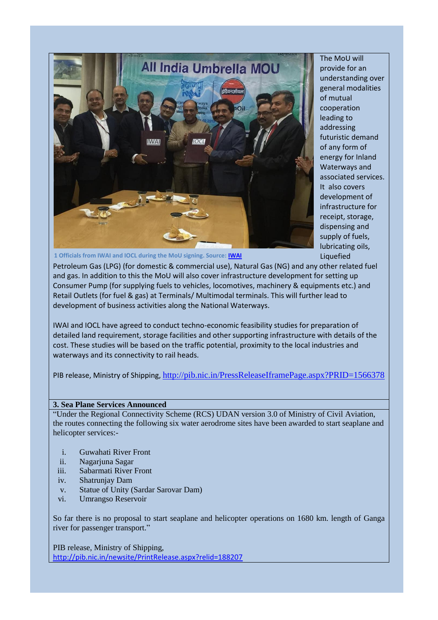

The MoU will provide for an understanding over general modalities of mutual cooperation leading to addressing futuristic demand of any form of energy for Inland Waterways and associated services. It also covers development of infrastructure for receipt, storage, dispensing and supply of fuels, lubricating oils, Liquefied

**1 Officials from IWAI and IOCL during the MoU signing. Source: [IWAI](https://www.facebook.com/239604849793692/photos/pcb.620072655080241/620072588413581/?type=3&theater)**

Petroleum Gas (LPG) (for domestic & commercial use), Natural Gas (NG) and any other related fuel and gas. In addition to this the MoU will also cover infrastructure development for setting up Consumer Pump (for supplying fuels to vehicles, locomotives, machinery & equipments etc.) and Retail Outlets (for fuel & gas) at Terminals/ Multimodal terminals. This will further lead to development of business activities along the National Waterways.

IWAI and IOCL have agreed to conduct techno-economic feasibility studies for preparation of detailed land requirement, storage facilities and other supporting infrastructure with details of the cost. These studies will be based on the traffic potential, proximity to the local industries and waterways and its connectivity to rail heads.

PIB release, Ministry of Shipping, <http://pib.nic.in/PressReleaseIframePage.aspx?PRID=1566378>

#### <span id="page-1-0"></span>**3. Sea Plane Services Announced**

"Under the Regional Connectivity Scheme (RCS) UDAN version 3.0 of Ministry of Civil Aviation, the routes connecting the following six water aerodrome sites have been awarded to start seaplane and helicopter services:-

- i. Guwahati River Front
- ii. Nagarjuna Sagar
- iii. Sabarmati River Front
- iv. Shatrunjay Dam
- v. Statue of Unity (Sardar Sarovar Dam)
- vi. Umrangso Reservoir

So far there is no proposal to start seaplane and helicopter operations on 1680 km. length of Ganga river for passenger transport."

PIB release, Ministry of Shipping, <http://pib.nic.in/newsite/PrintRelease.aspx?relid=188207>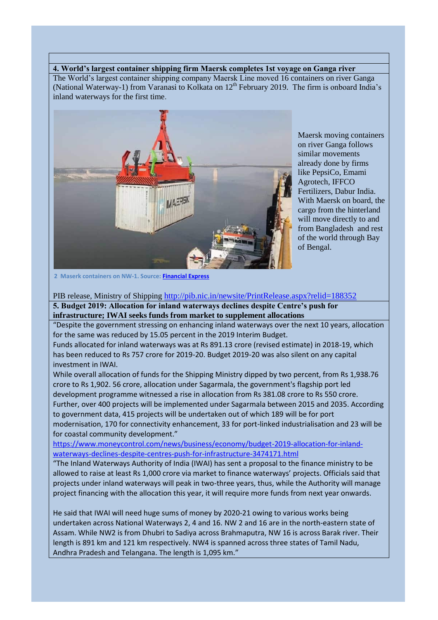## <span id="page-2-0"></span>**4. World's largest container shipping firm Maersk completes 1st voyage on Ganga river**

The World's largest container shipping company Maersk Line moved 16 containers on river Ganga (National Waterway-1) from Varanasi to Kolkata on  $12<sup>th</sup>$  February 2019. The firm is onboard India's inland waterways for the first time.



Maersk moving containers on river Ganga follows similar movements already done by firms like PepsiCo, Emami Agrotech, IFFCO Fertilizers, Dabur India. With Maersk on board, the cargo from the hinterland will move directly to and from Bangladesh and rest of the world through Bay of Bengal.

**2 Maserk containers on NW-1. Source: [Financial Express](https://www.financialexpress.com/infrastructure/boost-for-inland-waterways-worlds-largest-container-shipping-firm-maersk-completes-1st-voyage-on-ganga-river/1499858/)**

PIB release, Ministry of Shipping <http://pib.nic.in/newsite/PrintRelease.aspx?relid=188352>

<span id="page-2-1"></span>**5. Budget 2019: Allocation for inland waterways declines despite Centre's push for infrastructure; IWAI seeks funds from market to supplement allocations** 

"Despite the government stressing on enhancing inland waterways over the next 10 years, allocation for the same was reduced by 15.05 percent in the 2019 Interim Budget.

Funds allocated for inland waterways was at Rs 891.13 crore (revised estimate) in 2018-19, which has been reduced to Rs 757 crore for 2019-20. Budget 2019-20 was also silent on any capital investment in IWAI.

While overall allocation of funds for the Shipping Ministry dipped by two percent, from Rs 1,938.76 crore to Rs 1,902. 56 crore, allocation under Sagarmala, the government's flagship port led development programme witnessed a rise in allocation from Rs 381.08 crore to Rs 550 crore. Further, over 400 projects will be implemented under Sagarmala between 2015 and 2035. According to government data, 415 projects will be undertaken out of which 189 will be for port modernisation, 170 for connectivity enhancement, 33 for port-linked industrialisation and 23 will be for coastal community development."

[https://www.moneycontrol.com/news/business/economy/budget-2019-allocation-for-inland](https://www.moneycontrol.com/news/business/economy/budget-2019-allocation-for-inland-waterways-declines-despite-centres-push-for-infrastructure-3474171.html)[waterways-declines-despite-centres-push-for-infrastructure-3474171.html](https://www.moneycontrol.com/news/business/economy/budget-2019-allocation-for-inland-waterways-declines-despite-centres-push-for-infrastructure-3474171.html)

"The Inland Waterways Authority of India (IWAI) has sent a proposal to the finance ministry to be allowed to raise at least Rs 1,000 crore via market to finance waterways' projects. Officials said that projects under inland waterways will peak in two-three years, thus, while the Authority will manage project financing with the allocation this year, it will require more funds from next year onwards.

He said that IWAI will need huge sums of money by 2020-21 owing to various works being undertaken across National Waterways 2, 4 and 16. NW 2 and 16 are in the north-eastern state of Assam. While NW2 is from Dhubri to Sadiya across Brahmaputra, NW 16 is across Barak river. Their length is 891 km and 121 km respectively. NW4 is spanned across three states of Tamil Nadu, Andhra Pradesh and Telangana. The length is 1,095 km."